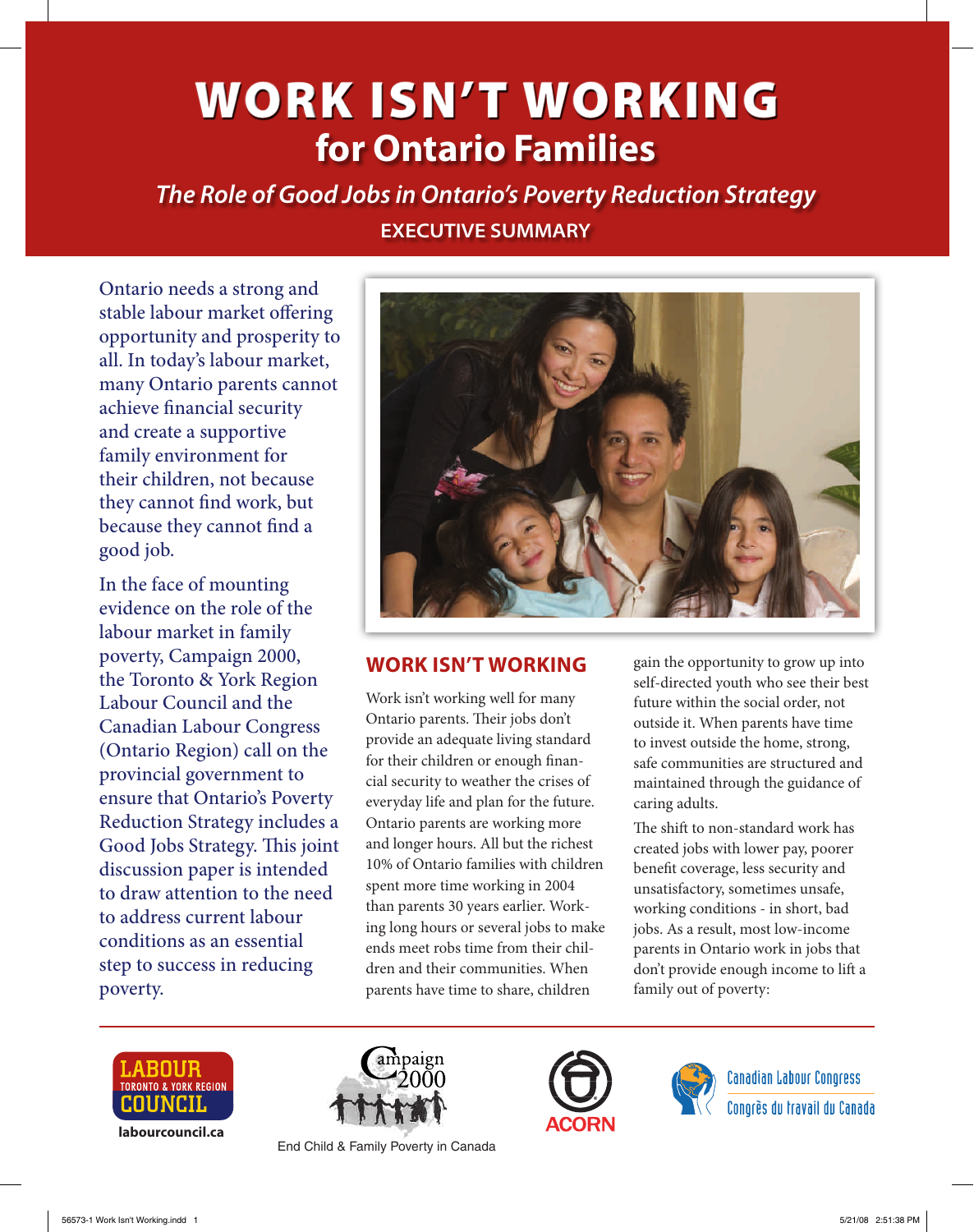# **for Ontario Families** WORK ISN'T WORKING

*The Role of Good Jobs in Ontario's Poverty Reduction Strategy* **EXECUTIVE SUMMARY** 

Ontario needs a strong and stable labour market offering opportunity and prosperity to all. In today's labour market, many Ontario parents cannot achieve financial security and create a supportive family environment for their children, not because they cannot find work, but because they cannot find a good job.

In the face of mounting evidence on the role of the labour market in family poverty, Campaign 2000, the Toronto & York Region Labour Council and the Canadian Labour Congress (Ontario Region) call on the provincial government to ensure that Ontario's Poverty Reduction Strategy includes a Good Jobs Strategy. This joint discussion paper is intended to draw attention to the need to address current labour conditions as an essential step to success in reducing poverty.



# **Work isn't Working**

Work isn't working well for many Ontario parents. Their jobs don't provide an adequate living standard for their children or enough financial security to weather the crises of everyday life and plan for the future. Ontario parents are working more and longer hours. All but the richest 10% of Ontario families with children spent more time working in 2004 than parents 30 years earlier. Working long hours or several jobs to make ends meet robs time from their children and their communities. When parents have time to share, children

gain the opportunity to grow up into self-directed youth who see their best future within the social order, not outside it. When parents have time to invest outside the home, strong, safe communities are structured and maintained through the guidance of caring adults.

The shift to non-standard work has created jobs with lower pay, poorer benefit coverage, less security and unsatisfactory, sometimes unsafe, working conditions - in short, bad jobs. As a result, most low-income parents in Ontario work in jobs that don't provide enough income to lift a family out of poverty:



**labourcouncil.ca**



End Child & Family Poverty in Canada





**Canadian Labour Congress** Conorès du travail du Canada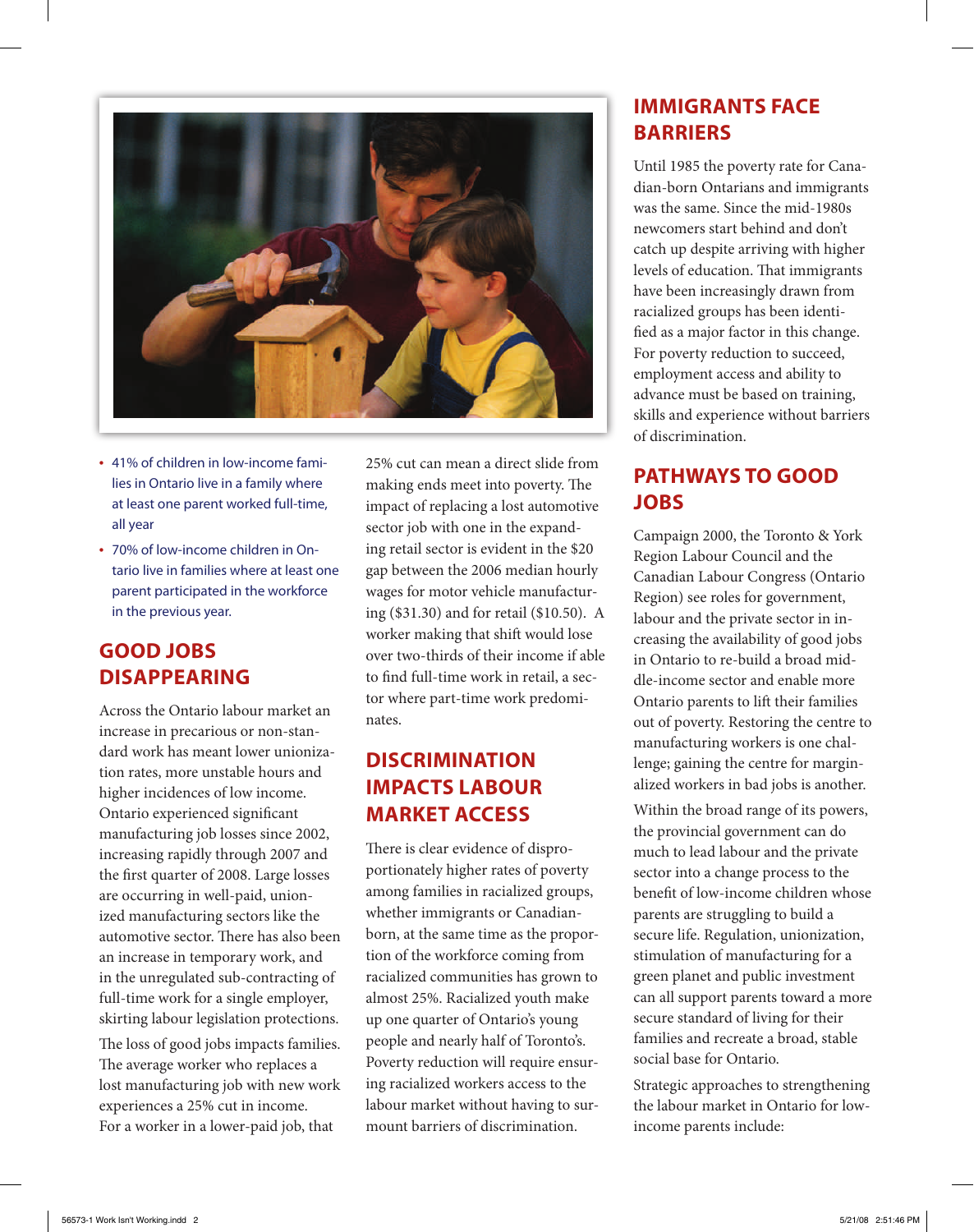

- 41% of children in low-income families in Ontario live in a family where at least one parent worked full-time, all year
- 70% of low-income children in Ontario live in families where at least one parent participated in the workforce in the previous year.

# **Good Jobs Disappearing**

Across the Ontario labour market an increase in precarious or non-standard work has meant lower unionization rates, more unstable hours and higher incidences of low income. Ontario experienced significant manufacturing job losses since 2002, increasing rapidly through 2007 and the first quarter of 2008. Large losses are occurring in well-paid, unionized manufacturing sectors like the automotive sector. There has also been an increase in temporary work, and in the unregulated sub-contracting of full-time work for a single employer, skirting labour legislation protections.

The loss of good jobs impacts families. The average worker who replaces a lost manufacturing job with new work experiences a 25% cut in income. For a worker in a lower-paid job, that

25% cut can mean a direct slide from making ends meet into poverty. The impact of replacing a lost automotive sector job with one in the expanding retail sector is evident in the \$20 gap between the 2006 median hourly wages for motor vehicle manufacturing (\$31.30) and for retail (\$10.50). A worker making that shift would lose over two-thirds of their income if able to find full-time work in retail, a sector where part-time work predominates.

# **Discrimination Impacts Labour Market Access**

There is clear evidence of disproportionately higher rates of poverty among families in racialized groups, whether immigrants or Canadianborn, at the same time as the proportion of the workforce coming from racialized communities has grown to almost 25%. Racialized youth make up one quarter of Ontario's young people and nearly half of Toronto's. Poverty reduction will require ensuring racialized workers access to the labour market without having to surmount barriers of discrimination.

# **Immigrants face Barriers**

Until 1985 the poverty rate for Canadian-born Ontarians and immigrants was the same. Since the mid-1980s newcomers start behind and don't catch up despite arriving with higher levels of education. That immigrants have been increasingly drawn from racialized groups has been identified as a major factor in this change. For poverty reduction to succeed, employment access and ability to advance must be based on training, skills and experience without barriers of discrimination.

## **Pathways to Good Jobs**

Campaign 2000, the Toronto & York Region Labour Council and the Canadian Labour Congress (Ontario Region) see roles for government, labour and the private sector in increasing the availability of good jobs in Ontario to re-build a broad middle-income sector and enable more Ontario parents to lift their families out of poverty. Restoring the centre to manufacturing workers is one challenge; gaining the centre for marginalized workers in bad jobs is another.

Within the broad range of its powers, the provincial government can do much to lead labour and the private sector into a change process to the benefit of low-income children whose parents are struggling to build a secure life. Regulation, unionization, stimulation of manufacturing for a green planet and public investment can all support parents toward a more secure standard of living for their families and recreate a broad, stable social base for Ontario.

Strategic approaches to strengthening the labour market in Ontario for lowincome parents include: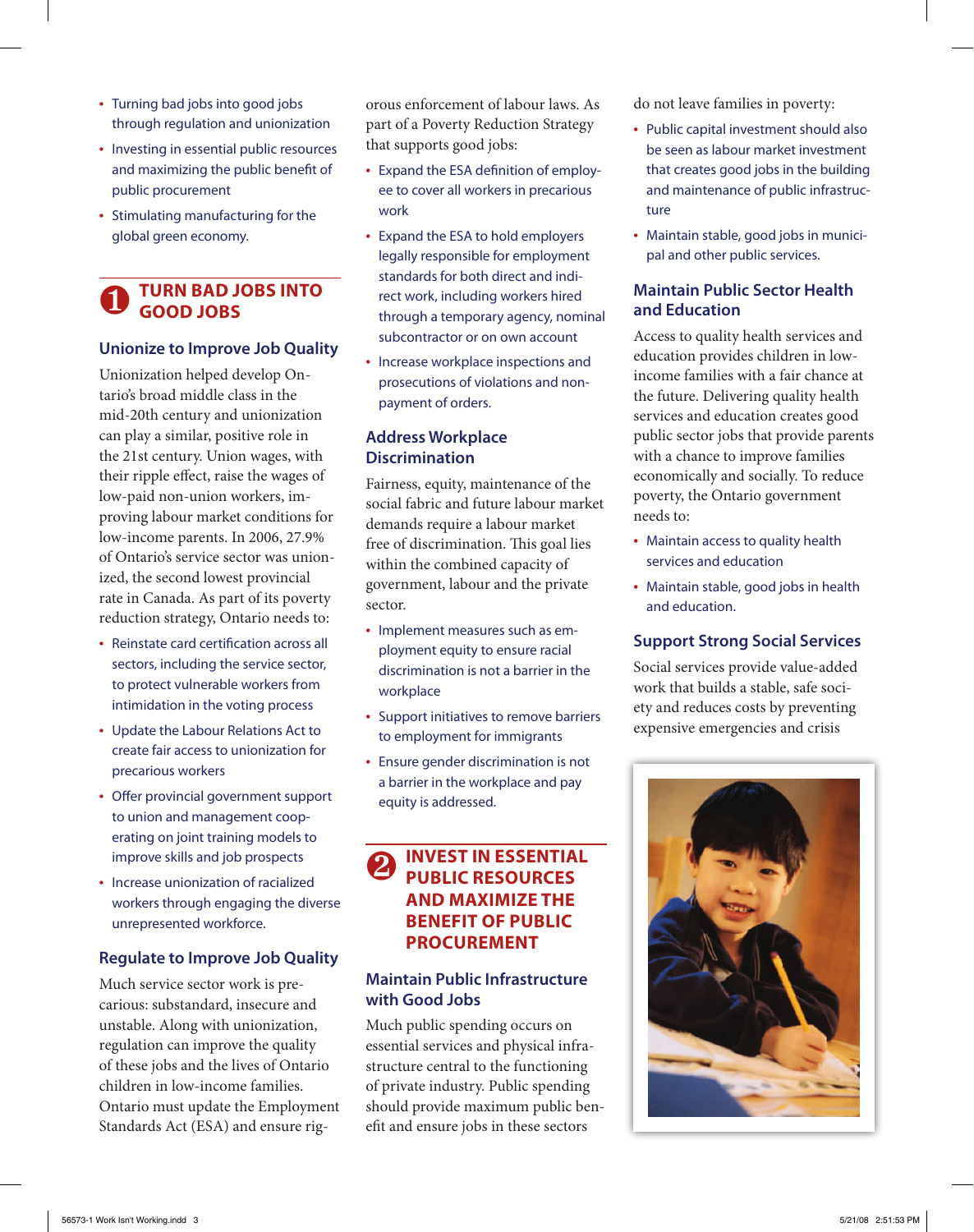- Turning bad jobs into good jobs through regulation and unionization
- Investing in essential public resources and maximizing the public benefit of public procurement
- Stimulating manufacturing for the global green economy.

## ❶ **Turn Bad Jobs into Good Jobs**

#### **Unionize to Improve Job Quality**

Unionization helped develop Ontario's broad middle class in the mid-20th century and unionization can play a similar, positive role in the 21st century. Union wages, with their ripple effect, raise the wages of low-paid non-union workers, improving labour market conditions for low-income parents. In 2006, 27.9% of Ontario's service sector was unionized, the second lowest provincial rate in Canada. As part of its poverty reduction strategy, Ontario needs to:

- Reinstate card certification across all sectors, including the service sector, to protect vulnerable workers from intimidation in the voting process
- Update the Labour Relations Act to create fair access to unionization for precarious workers
- Offer provincial government support to union and management cooperating on joint training models to improve skills and job prospects
- Increase unionization of racialized workers through engaging the diverse unrepresented workforce.

#### **Regulate to Improve Job Quality**

Much service sector work is precarious: substandard, insecure and unstable. Along with unionization, regulation can improve the quality of these jobs and the lives of Ontario children in low-income families. Ontario must update the Employment Standards Act (ESA) and ensure rigorous enforcement of labour laws. As part of a Poverty Reduction Strategy that supports good jobs:

- Expand the ESA definition of employee to cover all workers in precarious work
- Expand the ESA to hold employers legally responsible for employment standards for both direct and indirect work, including workers hired through a temporary agency, nominal subcontractor or on own account
- Increase workplace inspections and prosecutions of violations and nonpayment of orders.

## **Address Workplace Discrimination**

Fairness, equity, maintenance of the social fabric and future labour market demands require a labour market free of discrimination. This goal lies within the combined capacity of government, labour and the private sector.

- Implement measures such as employment equity to ensure racial discrimination is not a barrier in the workplace
- Support initiatives to remove barriers to employment for immigrants
- Ensure gender discrimination is not a barrier in the workplace and pay equity is addressed.

## ❷ **Invest in Essential Public Resources and Maximize the Benefit of Public Procurement**

## **Maintain Public Infrastructure with Good Jobs**

Much public spending occurs on essential services and physical infrastructure central to the functioning of private industry. Public spending should provide maximum public benefit and ensure jobs in these sectors

do not leave families in poverty:

- Public capital investment should also be seen as labour market investment that creates good jobs in the building and maintenance of public infrastructure
- Maintain stable, good jobs in municipal and other public services.

### **Maintain Public Sector Health and Education**

Access to quality health services and education provides children in lowincome families with a fair chance at the future. Delivering quality health services and education creates good public sector jobs that provide parents with a chance to improve families economically and socially. To reduce poverty, the Ontario government needs to:

- Maintain access to quality health services and education
- Maintain stable, good jobs in health and education.

## **Support Strong Social Services**

Social services provide value-added work that builds a stable, safe society and reduces costs by preventing expensive emergencies and crisis